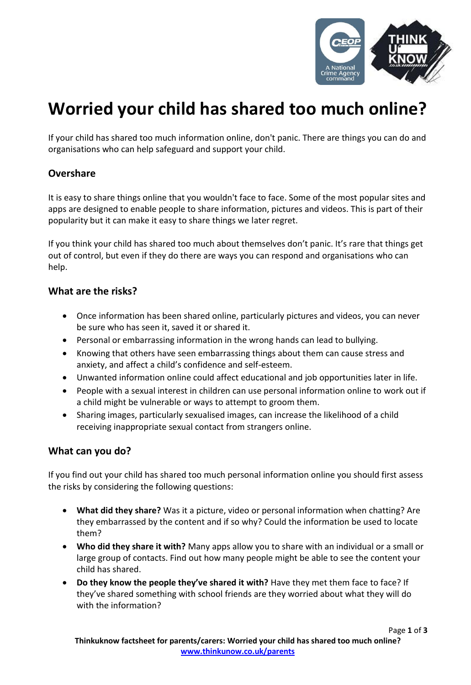

# **Worried your child has shared too much online?**

If your child has shared too much information online, don't panic. There are things you can do and organisations who can help safeguard and support your child.

### **Overshare**

It is easy to share things online that you wouldn't face to face. Some of the most popular sites and apps are designed to enable people to share information, pictures and videos. This is part of their popularity but it can make it easy to share things we later regret.

If you think your child has shared too much about themselves don't panic. It's rare that things get out of control, but even if they do there are ways you can respond and organisations who can help.

#### **What are the risks?**

- Once information has been shared online, particularly pictures and videos, you can never be sure who has seen it, saved it or shared it.
- Personal or embarrassing information in the wrong hands can lead to bullying.
- Knowing that others have seen embarrassing things about them can cause stress and anxiety, and affect a child's confidence and self-esteem.
- Unwanted information online could affect educational and job opportunities later in life.
- People with a sexual interest in children can use personal information online to work out if a child might be vulnerable or ways to attempt to groom them.
- Sharing images, particularly sexualised images, can increase the likelihood of a child receiving inappropriate sexual contact from strangers online.

#### **What can you do?**

If you find out your child has shared too much personal information online you should first assess the risks by considering the following questions:

- **What did they share?** Was it a picture, video or personal information when chatting? Are they embarrassed by the content and if so why? Could the information be used to locate them?
- **Who did they share it with?** Many apps allow you to share with an individual or a small or large group of contacts. Find out how many people might be able to see the content your child has shared.
- **Do they know the people they've shared it with?** Have they met them face to face? If they've shared something with school friends are they worried about what they will do with the information?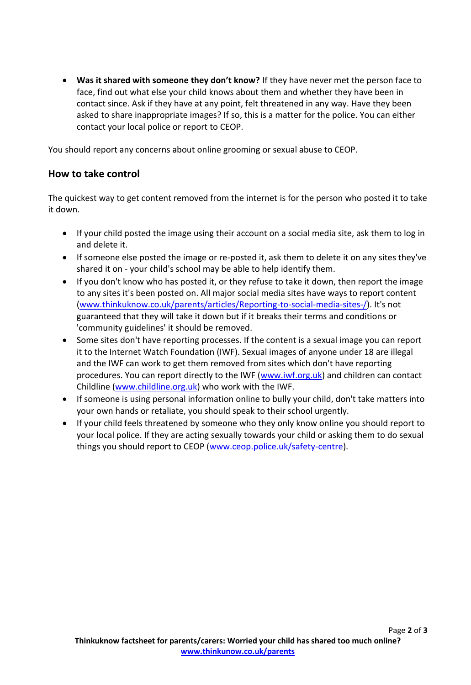**Was it shared with someone they don't know?** If they have never met the person face to face, find out what else your child knows about them and whether they have been in contact since. Ask if they have at any point, felt threatened in any way. Have they been asked to share inappropriate images? If so, this is a matter for the police. You can either contact your local police or report to CEOP.

You should report any concerns about online grooming or sexual abuse to CEOP.

## **How to take control**

The quickest way to get content removed from the internet is for the person who posted it to take it down.

- If your child posted the image using their account on a social media site, ask them to log in and delete it.
- If someone else posted the image or re-posted it, ask them to delete it on any sites they've shared it on - your child's school may be able to help identify them.
- If you don't know who has posted it, or they refuse to take it down, then report the image to any sites it's been posted on. All major social media sites have ways to report content [\(www.thinkuknow.co.uk/parents/articles/Reporting-to-social-media-sites-/\)](http://www.thinkuknow.co.uk/parents/articles/Reporting-to-social-media-sites-/). It's not guaranteed that they will take it down but if it breaks their terms and conditions or 'community guidelines' it should be removed.
- Some sites don't have reporting processes. If the content is a sexual image you can report it to the Internet Watch Foundation (IWF). Sexual images of anyone under 18 are illegal and the IWF can work to get them removed from sites which don't have reporting procedures. You can report directly to the IWF [\(www.iwf.org.uk\)](http://www.iwf.org.uk/) and children can contact Childline [\(www.childline.org.uk\)](http://www.childline.org.uk/) who work with the IWF.
- If someone is using personal information online to bully your child, don't take matters into your own hands or retaliate, you should speak to their school urgently.
- If your child feels threatened by someone who they only know online you should report to your local police. If they are acting sexually towards your child or asking them to do sexual things you should report to CEOP [\(www.ceop.police.uk/safety-centre\)](http://www.ceop.police.uk/safety-centre).